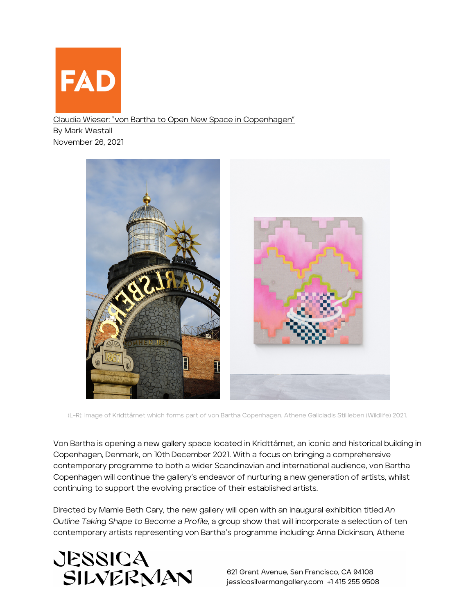

Claudia Wieser: "von Bartha to Open New Space in Copenhagen" By Mark Westall November 26, 2021



(L-R): Image of Kridttårnet which forms part of von Bartha Copenhagen. Athene Galiciadis Stillleben (Wildlife) 2021.

Von Bartha is opening a new gallery space located in Kridttårnet, an iconic and historical building in Copenhagen, Denmark, on 10th December 2021. With a focus on bringing a comprehensive contemporary programme to both a wider Scandinavian and international audience, von Bartha Copenhagen will continue the gallery's endeavor of nurturing a new generation of artists, whilst continuing to support the evolving practice of their established artists.

Directed by Mamie Beth Cary, the new gallery will open with an inaugural exhibition titled *An Outline Taking Shape to Become a Profile,* a group show that will incorporate a selection of ten contemporary artists representing von Bartha's programme including: Anna Dickinson, Athene



621 Grant Avenue, San Francisco, CA 94108 jessicasilvermangallery.com +1 415 255 9508